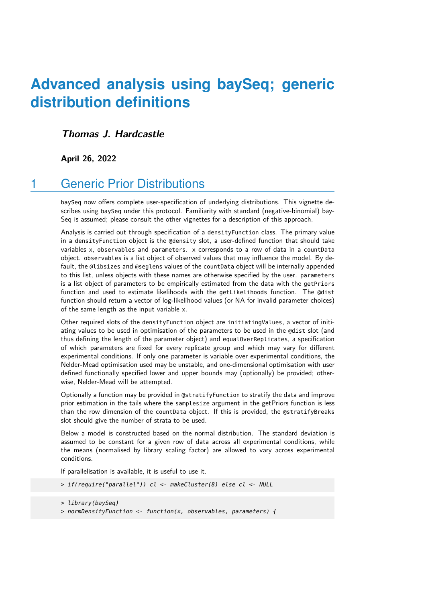# **Advanced analysis using baySeq; generic distribution definitions**

#### **Thomas J. Hardcastle**

**April 26, 2022**

## 1 Generic Prior Distributions

baySeq now offers complete user-specification of underlying distributions. This vignette describes using baySeq under this protocol. Familiarity with standard (negative-binomial) bay-Seq is assumed; please consult the other vignettes for a description of this approach.

Analysis is carried out through specification of a densityFunction class. The primary value in a densityFunction object is the @density slot, a user-defined function that should take variables x, observables and parameters. x corresponds to a row of data in a countData object. observables is a list object of observed values that may influence the model. By default, the @libsizes and @seglens values of the countData object will be internally appended to this list, unless objects with these names are otherwise specified by the user. parameters is a list object of parameters to be empirically estimated from the data with the getPriors function and used to estimate likelihoods with the getLikelihoods function. The @dist function should return a vector of log-likelihood values (or NA for invalid parameter choices) of the same length as the input variable x.

Other required slots of the densityFunction object are initiatingValues, a vector of initiating values to be used in optimisation of the parameters to be used in the @dist slot (and thus defining the length of the parameter object) and equalOverReplicates, a specification of which parameters are fixed for every replicate group and which may vary for different experimental conditions. If only one parameter is variable over experimental conditions, the Nelder-Mead optimisation used may be unstable, and one-dimensional optimisation with user defined functionally specified lower and upper bounds may (optionally) be provided; otherwise, Nelder-Mead will be attempted.

Optionally a function may be provided in @stratifyFunction to stratify the data and improve prior estimation in the tails where the samplesize argument in the getPriors function is less than the row dimension of the countData object. If this is provided, the @stratifyBreaks slot should give the number of strata to be used.

Below a model is constructed based on the normal distribution. The standard deviation is assumed to be constant for a given row of data across all experimental conditions, while the means (normalised by library scaling factor) are allowed to vary across experimental conditions.

If parallelisation is available, it is useful to use it.

```
> if(require("parallel")) cl <- makeCluster(8) else cl <- NULL
```

```
> library(baySeq)
```
> normDensityFunction <- function(x, observables, parameters) {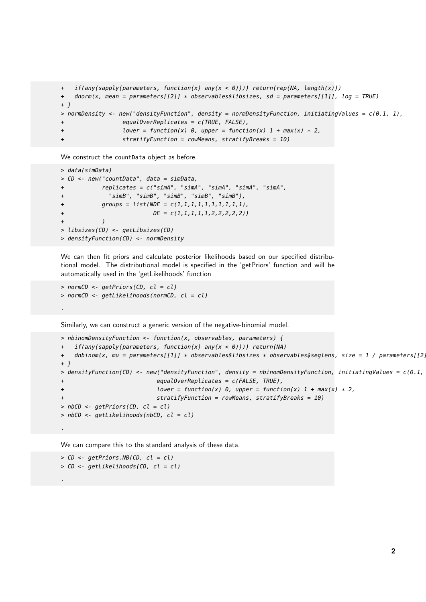```
+ if(any(sapply(parameters, function(x) any(x < 0)))) return(rep(NA, length(x)))
+ dnorm(x, mean = parameters[[2]] * observables$libsizes, sd = parameters[[1]], log = TRUE)
+ }
> normDensity <- new("densityFunction", density = normDensityFunction, initiatingValues = c(0.1, 1),
+ equalOverReplicates = c(TRUE, FALSE),
+ lower = function(x) 0, upper = function(x) 1 + max(x) * 2,
+ stratifyFunction = rowMeans, stratifyBreaks = 10)
```
We construct the countData object as before.

```
> data(simData)
> CD <- new("countData", data = simData,
+ replicates = c("simA", "simA", "simA", "simA", "simA",
+ "simB", "simB", "simB", "simB", "simB"),
+ groups = list(NDE = c(1,1,1,1,1,1,1,1,1,1),+ DE = c(1,1,1,1,1,1,2,2,2,2,2)+ )
> libsizes(CD) <- getLibsizes(CD)
> densityFunction(CD) <- normDensity
```
We can then fit priors and calculate posterior likelihoods based on our specified distributional model. The distributional model is specified in the 'getPriors' function and will be automatically used in the 'getLikelihoods' function

```
> normCD <- getPriors(CD, cl = cl)
> normCD <- getLikelihoods(normCD, cl = cl)
```
.

.

.

Similarly, we can construct a generic version of the negative-binomial model.

```
> nbinomDensityFunction <- function(x, observables, parameters) {
  if(any(sapply(parameters, function(x) any(x < 0)))) return(NA)
+ dnbinom(x, mu = parameters[[1]] * observables$libsizes * observables$seglens, size = 1 / parameters[[2],
+ }
> densityFunction(CD) <- new("densityFunction", density = nbinomDensityFunction, initiatingValues = c(0.1, 1)equalOverReplicates = c(FALSE, TRUE),
+ lower = function(x) \theta, upper = function(x) 1 + max(x) * 2,
+ stratifyFunction = rowMeans, stratifyBreaks = 10)
> nbCD < - getPriors(CD, cl = cl)> nbCD <- getLikelihoods(nbCD, cl = cl)
```
We can compare this to the standard analysis of these data.

```
> CD <- getPriors.NB(CD, cl = cl)
> CD <- getLikelihoods(CD, cl = cl)
```
**2**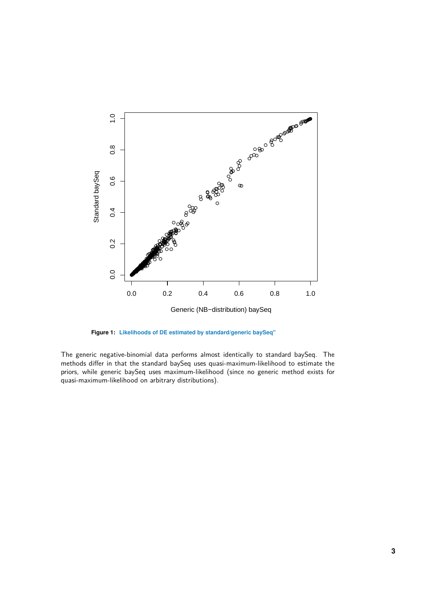

**Figure 1: Likelihoods of DE estimated by standard/generic baySeq"**

The generic negative-binomial data performs almost identically to standard baySeq. The methods differ in that the standard baySeq uses quasi-maximum-likelihood to estimate the priors, while generic baySeq uses maximum-likelihood (since no generic method exists for quasi-maximum-likelihood on arbitrary distributions).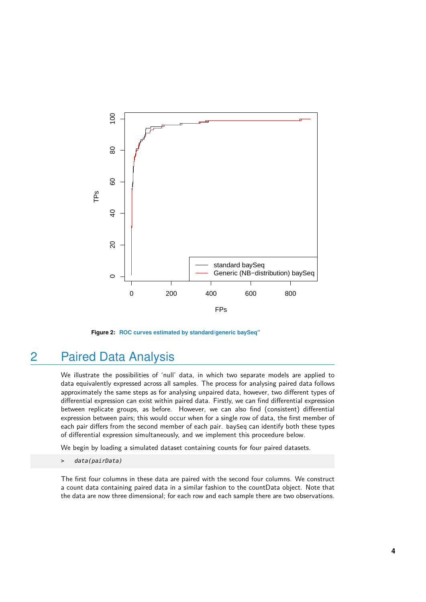

**Figure 2: ROC curves estimated by standard/generic baySeq"**

### 2 Paired Data Analysis

We illustrate the possibilities of 'null' data, in which two separate models are applied to data equivalently expressed across all samples. The process for analysing paired data follows approximately the same steps as for analysing unpaired data, however, two different types of differential expression can exist within paired data. Firstly, we can find differential expression between replicate groups, as before. However, we can also find (consistent) differential expression between pairs; this would occur when for a single row of data, the first member of each pair differs from the second member of each pair. baySeq can identify both these types of differential expression simultaneously, and we implement this proceedure below.

We begin by loading a simulated dataset containing counts for four paired datasets.

> data(pairData)

The first four columns in these data are paired with the second four columns. We construct a count data containing paired data in a similar fashion to the countData object. Note that the data are now three dimensional; for each row and each sample there are two observations.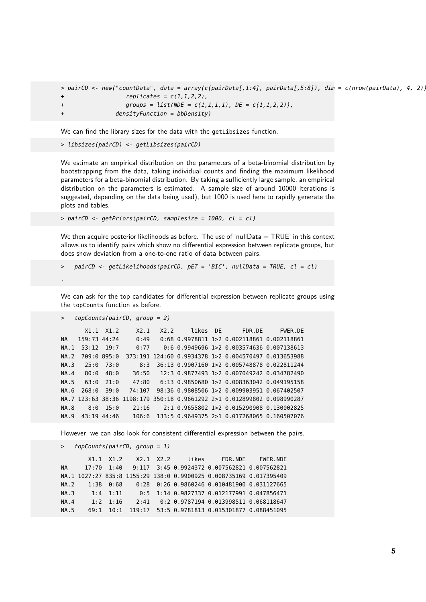> pairCD <- new("countData", data = array(c(pairData[,1:4], pairData[,5:8]), dim = c(nrow(pairData), 4, 2)), +  $replicates = c(1,1,2,2)$ , + groups = list(NDE = c(1,1,1,1), DE = c(1,1,2,2)),  $densityFunction = bbbensity$ 

We can find the library sizes for the data with the getLibsizes function.

> libsizes(pairCD) <- getLibsizes(pairCD)

We estimate an empirical distribution on the parameters of a beta-binomial distribution by bootstrapping from the data, taking individual counts and finding the maximum likelihood parameters for a beta-binomial distribution. By taking a sufficiently large sample, an empirical distribution on the parameters is estimated. A sample size of around 10000 iterations is suggested, depending on the data being used), but 1000 is used here to rapidly generate the plots and tables.

> pairCD <- getPriors(pairCD, samplesize = 1000, cl = cl)

We then acquire posterior likelihoods as before. The use of 'nullData  $= TRUE'$  in this context allows us to identify pairs which show no differential expression between replicate groups, but does show deviation from a one-to-one ratio of data between pairs.

```
pairCD \leq qetLikelihoods(pairCD, pET = 'BIC', nullData = TRUE, cl = cl)
```
.

We can ask for the top candidates for differential expression between replicate groups using the topCounts function as before.

> topCounts(pairCD, group = 2)

```
X1.1 X1.2 X2.1 X2.2 likes DE FDR.DE FWER.DE
NA 159:73 44:24 0:49 0:68 0.9978811 1>2 0.002118861 0.002118861
NA.1 53:12 19:7 0:77 0:6 0.9949696 1>2 0.003574636 0.007138613
NA.2 709:0 895:0 373:191 124:60 0.9934378 1>2 0.004570497 0.013653988
NA.3 25:0 73:0 8:3 36:13 0.9907160 1>2 0.005748878 0.022811244
NA.4 80:0 48:0 36:50 12:3 0.9877493 1>2 0.007049242 0.034782490
NA.5 63:0 21:0 47:80 6:13 0.9850680 1>2 0.008363042 0.049195158
NA.6 268:0 39:0 74:107 98:36 0.9808506 1>2 0.009903951 0.067402507
NA.7 123:63 38:36 1198:179 350:18 0.9661292 2>1 0.012899802 0.098990287
NA.8 8:0 15:0 21:16 2:1 0.9655802 1>2 0.015290908 0.130002825
NA.9 43:19 44:46 106:6 133:5 0.9649375 2>1 0.017268065 0.160507076
```
However, we can also look for consistent differential expression between the pairs.

```
> topCounts(pairCD, group = 1)
```

|  |  |  |                                                                                              | X1.1 X1.2 X2.1 X2.2 likes FDR.NDE FWER.NDE                                 |
|--|--|--|----------------------------------------------------------------------------------------------|----------------------------------------------------------------------------|
|  |  |  |                                                                                              | NA 17:70  1:40  9:117  3:45  0.9924372  0.007562821  0.007562821           |
|  |  |  | NA.1 1027:27 835:8 1155:29 138:0 0.9900925 0.008735169 0.017395409                           |                                                                            |
|  |  |  | NA.2   1:38  0:68    0:28  0:26              0.9860246        0.010481900        0.031127665 |                                                                            |
|  |  |  | NA.3 1:4 1:11         0:5 1:14 0.9827337 0.012177991 0.047856471                             |                                                                            |
|  |  |  | NA.4    1:2    1:16    2:41    0:2    0.9787194    0.013998511    0.068118647                |                                                                            |
|  |  |  |                                                                                              | NA.5   69:1   10:1   119:17   53:5   0.9781813   0.015301877   0.088451095 |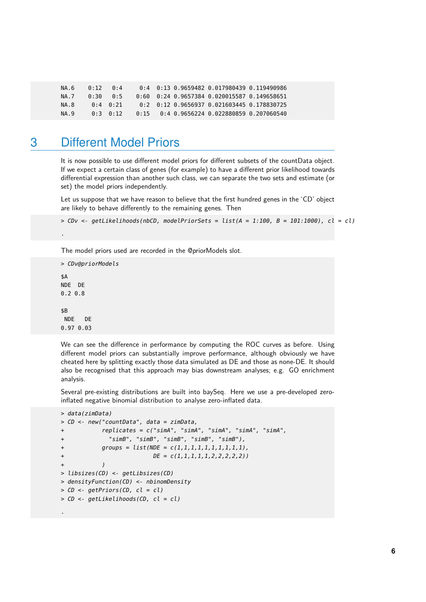| NA.6        | 0:12    | 0 : 4        | $0.4$ $0.13$ $0.9659482$ $0.017980439$ $0.119490986$ |
|-------------|---------|--------------|------------------------------------------------------|
| <b>NA 7</b> | 0:300:5 |              | $0.60$ $0.24$ 0.9657384 0.020015587 0.149658651      |
| NA.8        |         | $0:4$ $0:21$ | 0.2 0.12 0.9656937 0.021603445 0.178830725           |
| NA 9        |         | 0.3 0.12     | $0.15$ $0.4$ 0.9656224 0.022880859 0.207060540       |

#### 3 Different Model Priors

It is now possible to use different model priors for different subsets of the countData object. If we expect a certain class of genes (for example) to have a different prior likelihood towards differential expression than another such class, we can separate the two sets and estimate (or set) the model priors independently.

Let us suppose that we have reason to believe that the first hundred genes in the 'CD' object are likely to behave differently to the remaining genes. Then

```
> CDv \leq qetLikelihoods(nbCD, modelPriorSets = list(A = 1:100, B = 101:1000), cl = cl)
```
The model priors used are recorded in the @priorModels slot.

```
> CDv@priorModels
$A
NDE DE
0.2 0.8
$B
NDE DE
0.97 0.03
```
.

We can see the difference in performance by computing the ROC curves as before. Using different model priors can substantially improve performance, although obviously we have cheated here by splitting exactly those data simulated as DE and those as none-DE. It should also be recognised that this approach may bias downstream analyses; e.g. GO enrichment analysis.

Several pre-existing distributions are built into baySeq. Here we use a pre-developed zeroinflated negative binomial distribution to analyse zero-inflated data.

```
> data(zimData)
> CD <- new("countData", data = zimData,
+ replicates = c("simA", "simA", "simA", "simA", "simA",
+ "simB", "simB", "simB", "simB", "simB"),
+ groups = list(NDE = c(1, 1, 1, 1, 1, 1, 1, 1, 1, 1))+ DE = c(1,1,1,1,1,2,2,2,2,2)+ )
> libsizes(CD) <- getLibsizes(CD)
> densityFunction(CD) <- nbinomDensity
> CD <- getPriors(CD, cl = cl)
> CD <- getLikelihoods(CD, cl = cl)
.
```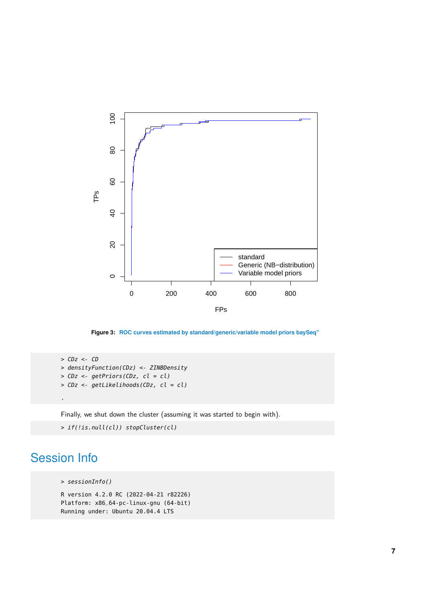

**Figure 3: ROC curves estimated by standard/generic/variable model priors baySeq"**

```
> CDz < - CD> densityFunction(CDz) <- ZINBDensity
> CDz <- getPriors(CDz, cl = cl)
> CDz <- getLikelihoods(CDz, cl = cl)
.
```
Finally, we shut down the cluster (assuming it was started to begin with).

```
> if(!is.null(cl)) stopCluster(cl)
```
# Session Info

```
> sessionInfo()
```

```
R version 4.2.0 RC (2022-04-21 r82226)
Platform: x86_64-pc-linux-gnu (64-bit)
Running under: Ubuntu 20.04.4 LTS
```